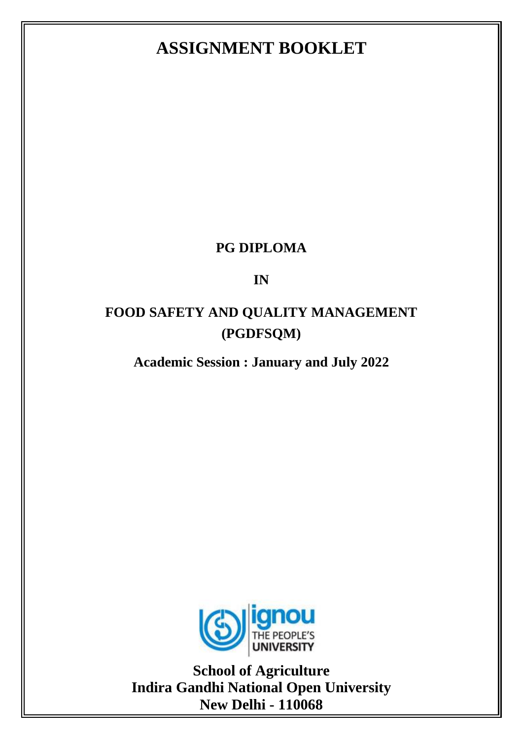# **ASSIGNMENT BOOKLET**

### **PG DIPLOMA**

### **IN**

## **FOOD SAFETY AND QUALITY MANAGEMENT (PGDFSQM)**

## **Academic Session : January and July 2022**



**School of Agriculture Indira Gandhi National Open University New Delhi - 110068**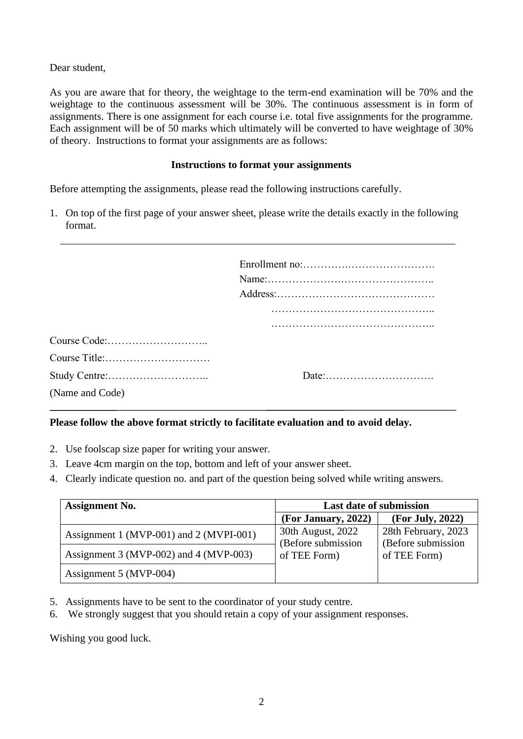Dear student,

As you are aware that for theory, the weightage to the term-end examination will be 70% and the weightage to the continuous assessment will be 30%. The continuous assessment is in form of assignments. There is one assignment for each course i.e. total five assignments for the programme. Each assignment will be of 50 marks which ultimately will be converted to have weightage of 30% of theory. Instructions to format your assignments are as follows:

#### **Instructions to format your assignments**

Before attempting the assignments, please read the following instructions carefully.

1. On top of the first page of your answer sheet, please write the details exactly in the following format.

| (Name and Code) |  |
|-----------------|--|

#### **Please follow the above format strictly to facilitate evaluation and to avoid delay.**

- 2. Use foolscap size paper for writing your answer.
- 3. Leave 4cm margin on the top, bottom and left of your answer sheet.
- 4. Clearly indicate question no. and part of the question being solved while writing answers.

| <b>Assignment No.</b>                   | <b>Last date of submission</b>                          |                                                           |
|-----------------------------------------|---------------------------------------------------------|-----------------------------------------------------------|
|                                         | (For January, 2022)                                     | (For July, 2022)                                          |
| Assignment 1 (MVP-001) and 2 (MVPI-001) | 30th August, 2022<br>(Before submission<br>of TEE Form) | 28th February, 2023<br>(Before submission<br>of TEE Form) |
| Assignment 3 (MVP-002) and 4 (MVP-003)  |                                                         |                                                           |
| Assignment 5 (MVP-004)                  |                                                         |                                                           |

- 5. Assignments have to be sent to the coordinator of your study centre.
- 6. We strongly suggest that you should retain a copy of your assignment responses.

Wishing you good luck.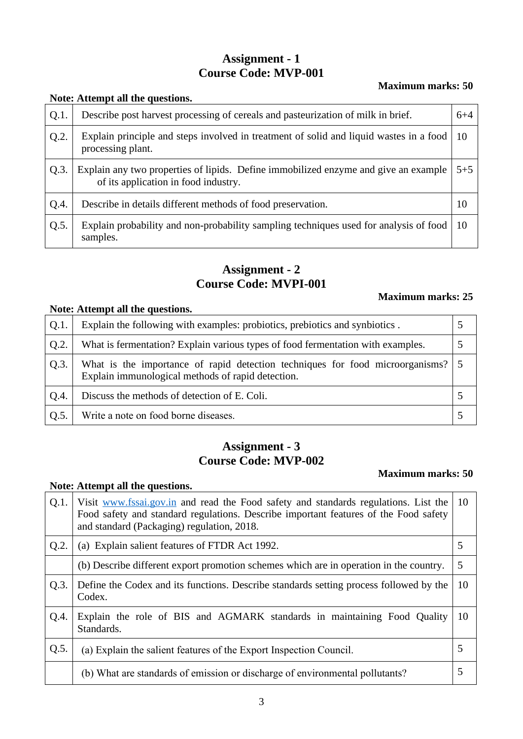### **Assignment - 1 Course Code: MVP-001**

#### **Maximum marks: 50**

#### **Note: Attempt all the questions.**

**Note: Attempt all the questions.**

| $Q.1$ . | Describe post harvest processing of cereals and pasteurization of milk in brief.                                            | $6 + 4$ |
|---------|-----------------------------------------------------------------------------------------------------------------------------|---------|
| Q.2.    | Explain principle and steps involved in treatment of solid and liquid wastes in a food<br>processing plant.                 | 10      |
| Q.3.    | Explain any two properties of lipids. Define immobilized enzyme and give an example<br>of its application in food industry. | $5 + 5$ |
| $Q.4$ . | Describe in details different methods of food preservation.                                                                 | 10      |
| Q.5.    | Explain probability and non-probability sampling techniques used for analysis of food<br>samples.                           | 10      |

### **Assignment - 2 Course Code: MVPI-001**

#### **Maximum marks: 25**

| Note: Attempt all the questions. |                                                                                                                                      |  |  |
|----------------------------------|--------------------------------------------------------------------------------------------------------------------------------------|--|--|
| Q.1.                             | Explain the following with examples: probiotics, prebiotics and synbiotics.                                                          |  |  |
| Q.2.                             | What is fermentation? Explain various types of food fermentation with examples.                                                      |  |  |
| Q.3.                             | What is the importance of rapid detection techniques for food microorganisms? 5<br>Explain immunological methods of rapid detection. |  |  |
| Q.4.                             | Discuss the methods of detection of E. Coli.                                                                                         |  |  |
| Q.5.                             | Write a note on food borne diseases.                                                                                                 |  |  |

### **Assignment - 3 Course Code: MVP-002**

#### **Maximum marks: 50**

| $Q.1$ . | Visit www.fssai.gov.in and read the Food safety and standards regulations. List the<br>Food safety and standard regulations. Describe important features of the Food safety<br>and standard (Packaging) regulation, 2018. | 10 |
|---------|---------------------------------------------------------------------------------------------------------------------------------------------------------------------------------------------------------------------------|----|
| Q.2.    | (a) Explain salient features of FTDR Act 1992.                                                                                                                                                                            | 5  |
|         | (b) Describe different export promotion schemes which are in operation in the country.                                                                                                                                    | 5  |
| Q.3.    | Define the Codex and its functions. Describe standards setting process followed by the<br>Codex.                                                                                                                          | 10 |
| Q.4.    | Explain the role of BIS and AGMARK standards in maintaining Food Quality<br>Standards.                                                                                                                                    | 10 |
| Q.5.    | (a) Explain the salient features of the Export Inspection Council.                                                                                                                                                        | 5  |
|         | (b) What are standards of emission or discharge of environmental pollutants?                                                                                                                                              | 5  |